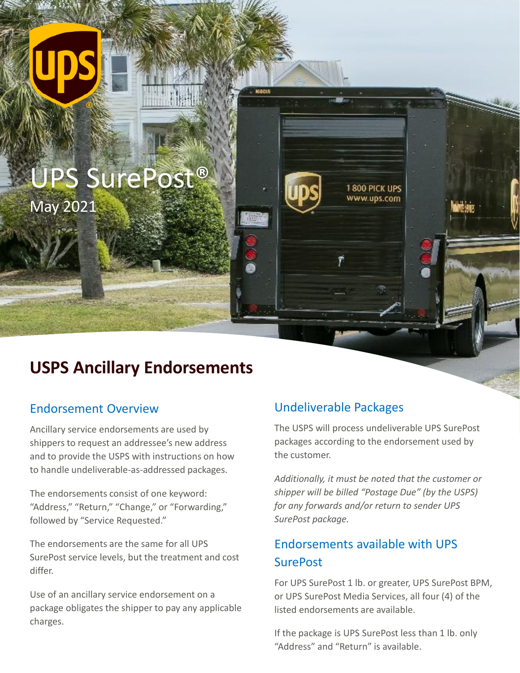# UPS SurePost® May 2021

# **USPS Ancillary Endorsements**

#### Endorsement Overview

Ancillary service endorsements are used by shippers to request an addressee's new address and to provide the USPS with instructions on how to handle undeliverable-as-addressed packages.

The endorsements consist of one keyword: "Address," "Return," "Change," or "Forwarding," followed by "Service Requested."

The endorsements are the same for all UPS SurePost service levels, but the treatment and cost differ.

Use of an ancillary service endorsement on a package obligates the shipper to pay any applicable charges.

#### Undeliverable Packages

The USPS will process undeliverable UPS SurePost packages according to the endorsement used by the customer.

1800 PICK UPS www.ups.com

*Additionally, it must be noted that the customer or shipper will be billed "Postage Due" (by the USPS) for any forwards and/or return to sender UPS SurePost package.* 

### Endorsements available with UPS **SurePost**

For UPS SurePost 1 lb. or greater, UPS SurePost BPM, or UPS SurePost Media Services, all four (4) of the listed endorsements are available.

If the package is UPS SurePost less than 1 lb. only "Address" and "Return" is available.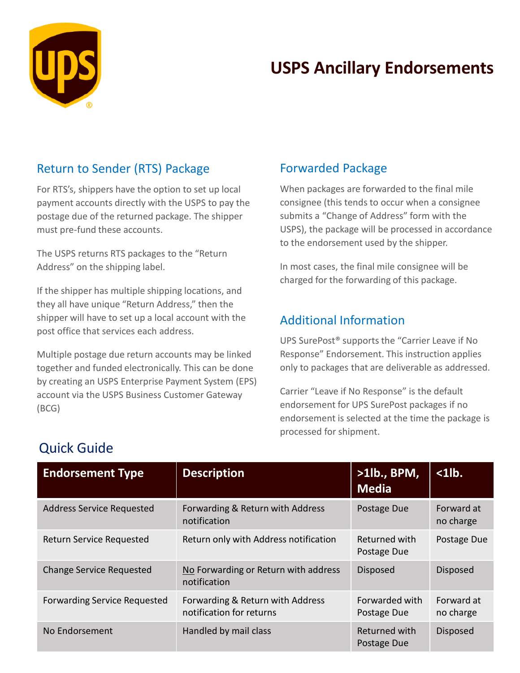

# **USPS Ancillary Endorsements**

#### Return to Sender (RTS) Package

For RTS's, shippers have the option to set up local payment accounts directly with the USPS to pay the postage due of the returned package. The shipper must pre-fund these accounts.

The USPS returns RTS packages to the "Return Address" on the shipping label.

If the shipper has multiple shipping locations, and they all have unique "Return Address," then the shipper will have to set up a local account with the post office that services each address.

Multiple postage due return accounts may be linked together and funded electronically. This can be done by creating an USPS Enterprise Payment System (EPS) account via the USPS Business Customer Gateway (BCG)

#### Forwarded Package

When packages are forwarded to the final mile consignee (this tends to occur when a consignee submits a "Change of Address" form with the USPS), the package will be processed in accordance to the endorsement used by the shipper.

In most cases, the final mile consignee will be charged for the forwarding of this package.

#### Additional Information

UPS SurePost® supports the "Carrier Leave if No Response" Endorsement. This instruction applies only to packages that are deliverable as addressed.

Carrier "Leave if No Response" is the default endorsement for UPS SurePost packages if no endorsement is selected at the time the package is processed for shipment.

| <b>Endorsement Type</b>          | <b>Description</b>                                           | $>1$ lb., BPM,<br><b>Media</b> | $\langle$ 1 $\vert$ b.  |
|----------------------------------|--------------------------------------------------------------|--------------------------------|-------------------------|
| <b>Address Service Requested</b> | Forwarding & Return with Address<br>notification             | Postage Due                    | Forward at<br>no charge |
| <b>Return Service Requested</b>  | Return only with Address notification                        | Returned with<br>Postage Due   | Postage Due             |
| <b>Change Service Requested</b>  | No Forwarding or Return with address<br>notification         | <b>Disposed</b>                | <b>Disposed</b>         |
| Forwarding Service Requested     | Forwarding & Return with Address<br>notification for returns | Forwarded with<br>Postage Due  | Forward at<br>no charge |
| No Endorsement                   | Handled by mail class                                        | Returned with<br>Postage Due   | <b>Disposed</b>         |

## Quick Guide